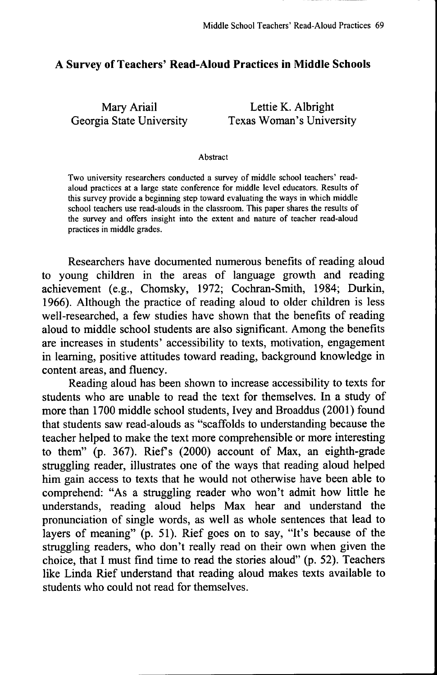### **A Survey of Teachers' Read-Aloud Practices in Middle Schools**

Mary Ariail Lettie K. Albright Georgia State University Texas Woman's University

#### **Abstract**

Two university researchers conducted a survey of middle school teachers' readaloud practices at a large state conference for middle level educators. Results of this survey provide a beginning step toward evaluating the ways in which middle school teachers use read-alouds in the classroom. This paper shares the results of the survey and offers insight into the extent and nature of teacher read-aloud practices in middle grades.

Researchers have documented numerous benefits of reading aloud to young children in the areas of language growth and reading achievement (e.g., Chomsky, 1972; Cochran-Smith, 1984; Durkin, 1966). Although the practice of reading aloud to older children is less well-researched, a few studies have shown that the benefits of reading aloud to middle school students are also significant. Among the benefits are increases in students' accessibility to texts, motivation, engagement in learning, positive attitudes toward reading, background knowledge in content areas, and fluency.

Reading aloud has been shown to increase accessibility to texts for students who are unable to read the text for themselves. In a study of more than 1700 middle school students, Ivey and Broaddus (2001) found that students saw read-alouds as "scaffolds to understanding because the teacher helped to make the text more comprehensible or more interesting to them" (p. 367). Rief's (2000) account of Max, an eighth-grade struggling reader, illustrates one of the ways that reading aloud helped him gain access to texts that he would not otherwise have been able to comprehend: "As a struggling reader who won't admit how little he understands, reading aloud helps Max hear and understand the pronunciation of single words, as well as whole sentences that lead to layers of meaning" (p. 51). Rief goes on to say, "It's because of the struggling readers, who don't really read on their own when given the choice, that I must find time to read the stories aloud" (p. 52). Teachers like Linda Rief understand that reading aloud makes texts available to students who could not read for themselves.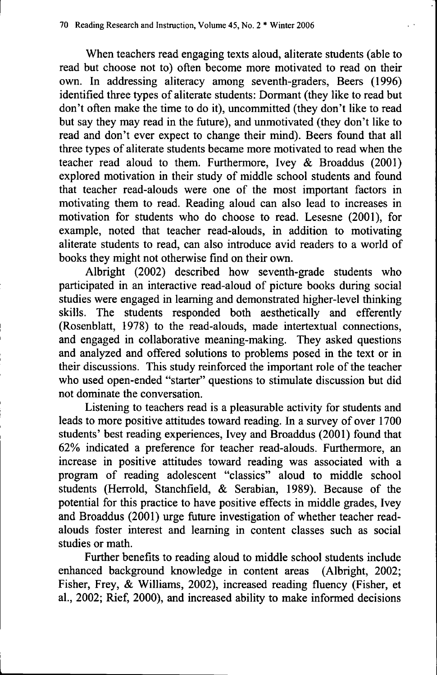When teachers read engaging texts aloud, aliterate students (able to read but choose not to) often become more motivated to read on their own. In addressing aliteracy among seventh-graders. Beers (1996) identified three types of aliterate students: Dormant (they like to read but don't often make the time to do it), uncommitted (they don't like to read but say they may read in the future), and unmotivated (they don't like to read and don't ever expect to change their mind). Beers found that all three types of aliterate students became more motivated to read when the teacher read aloud to them. Furthermore, Ivey & Broaddus (2001) explored motivation in their study of middle school students and found that teacher read-alouds were one of the most important factors in motivating them to read. Reading aloud can also lead to increases in motivation for students who do choose to read. Lesesne (2001), for example, noted that teacher read-alouds, in addition to motivating aliterate students to read, can also introduce avid readers to a world of books they might not otherwise find on their own.

Albright (2002) described how seventh-grade students who participated in an interactive read-aloud of picture books during social studies were engaged in learning and demonstrated higher-level thinking skills. The students responded both aesthetically and efferently (Rosenblatt, 1978) to the read-alouds, made intertextual connections, and engaged in collaborative meaning-making. They asked questions and analyzed and offered solutions to problems posed in the text or in their discussions. This study reinforced the important role of the teacher who used open-ended "starter" questions to stimulate discussion but did not dominate the conversation.

Listening to teachers read is a pleasurable activity for students and leads to more positive attitudes toward reading. In a survey of over 1700 students' best reading experiences, Ivey and Broaddus (2001) found that 62% indicated a preference for teacher read-alouds. Furthermore, an increase in positive attitudes toward reading was associated with a program of reading adolescent "classics" aloud to middle school students (Herrold, Stanchfield, & Serabian, 1989). Because of the potential for this practice to have positive effects in middle grades, Ivey and Broaddus (2001) urge future investigation of whether teacher readalouds foster interest and learning in content classes such as social studies or math.

Further benefits to reading aloud to middle school students include enhanced background knowledge in content areas (Albright, 2002; Fisher, Frey, & Williams, 2002), increased reading fluency (Fisher, et al., 2002; Rief, 2000), and increased ability to make informed decisions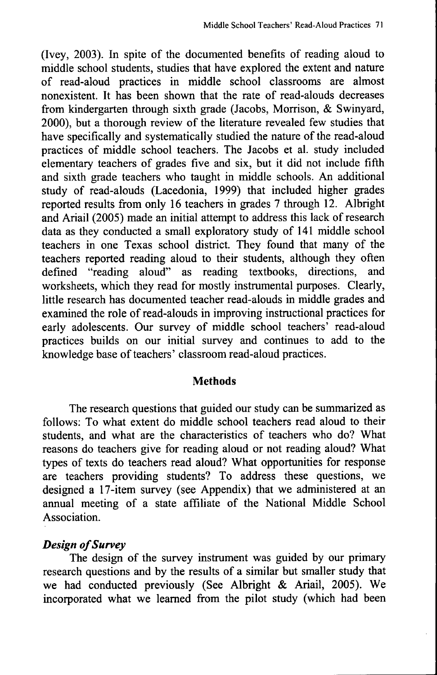(Ivey, 2003). In spite of the documented benefits of reading aloud to middle school students, studies that have explored the extent and nature of read-aloud practices in middle school classrooms are almost nonexistent. It has been shown that the rate of read-alouds decreases from kindergarten through sixth grade (Jacobs, Morrison, & Swinyard, 2000), but a thorough review of the literature revealed few studies that have specifically and systematically studied the nature of the read-aloud practices of middle school teachers. The Jacobs et al. study included elementary teachers of grades five and six, but it did not include fifth and sixth grade teachers who taught in middle schools. An additional study of read-alouds (Lacedonia, 1999) that included higher grades reported results from only 16 teachers in grades 7 through 12. Albright and Ariail (2005) made an initial attempt to address this lack of research data as they conducted a small exploratory study of 141 middle school teachers in one Texas school district. They found that many of the teachers reported reading aloud to their students, although they often defined "reading aloud" as reading textbooks, directions, and worksheets, which they read for mostly instrumental purposes. Clearly, little research has documented teacher read-alouds in middle grades and examined the role of read-alouds in improving instructional practices for early adolescents. Our survey of middle school teachers' read-aloud practices builds on our initial survey and continues to add to the knowledge base of teachers' classroom read-aloud practices.

### **Methods**

The research questions that guided our study can be summarized as follows: To what extent do middle school teachers read aloud to their students, and what are the characteristics of teachers who do? What reasons do teachers give for reading aloud or not reading aloud? What types of texts do teachers read aloud? What opportunities for response are teachers providing students? To address these questions, we designed a 17-item *survey* (see Appendix) that we administered at an annual meeting of a state affiliate of the National Middle School Association.

### *Design of Survey*

The design of the survey instrument was guided by our primary research questions and by the results of a similar but smaller study that we had conducted previously (See Albright & Ariail, 2005). We incorporated what we learned from the pilot study (which had been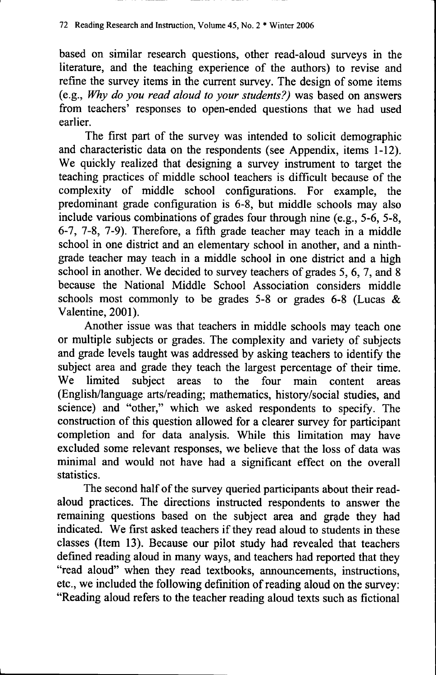based on similar research questions, other read-aloud surveys in the literature, and the teaching experience of the authors) to revise and refine the survey items in the current survey. The design of some items (e.g.. *Why do you read aloud to your students?)* was based on answers from teachers' responses to open-ended questions that we had used earlier.

The first part of the survey was intended to solicit demographic and characteristic data on the respondents (see Appendix, items 1-12). We quickly realized that designing a survey instrument to target the teaching practices of middle school teachers is difficult because of the complexity of middle school configurations. For example, the predominant grade configuration is 6-8, but middle schools may also include various combinations of grades four through nine (e.g., 5-6, 5-8, 6-7, 7-8, 7-9). Therefore, a fifth grade teacher may teach in a middle school in one district and an elementary school in another, and a ninthgrade teacher may teach in a middle school in one district and a high school in another. We decided to survey teachers of grades 5, 6, 7, and  $8$ because the National Middle School Association considers middle schools most commonly to be grades 5-8 or grades 6-8 (Lucas & Valentine, 2001).

Another issue was that teachers in middle schools may teach one or multiple subjects or grades. The complexity and variety of subjects and grade levels taught was addressed by asking teachers to identify the subject area and grade they teach the largest percentage of their time. We limited subject areas to the four main content areas (English/language arts/reading; mathematics, history/social studies, and science) and "other," which we asked respondents to specify. The construction of this question allowed for a clearer survey for participant completion and for data analysis. While this limitation may have excluded some relevant responses, we believe that the loss of data was minimal and would not have had a significant effect on the overall statistics.

The second half of the survey queried participants about their readaloud practices. The directions instructed respondents to answer the remaining questions based on the subject area and grade they had indicated. We first asked teachers if they read aloud to students in these classes (Item 13). Because our pilot study had revealed that teachers defined reading aloud in many ways, and teachers had reported that they "read aloud" when they read textbooks, announcements, instructions, etc., we included the following definition of reading aloud on the survey: "Reading aloud refers to the teacher reading aloud texts such as fictional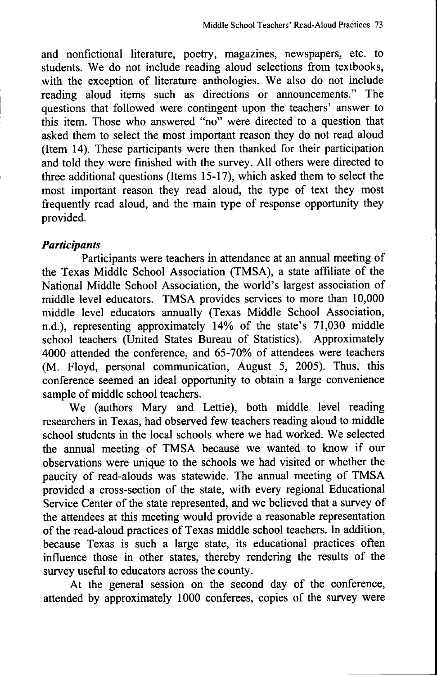and nonfictional literature, poetry, magazines, newspapers, etc. to students. We do not include reading aloud selections from textbooks, with the exception of literature anthologies. We also do not include reading aloud items such as directions or announcements." The questions that followed were contingent upon the teachers' answer to this item. Those who answered "no" were directed to a question that asked them to select the most important reason they do not read aloud (Item 14). These participants were then thanked for their participation and told they were finished with the survey. All others were directed to three additional questions (Items 15-17), which asked them to select the most important reason they read aloud, the type of text they most frequently read aloud, and the main type of response opportunity they provided.

### *Participants*

Participants were teachers in attendance at an annual meeting of the Texas Middle School Association (TMSA), a state affiliate of the National Middle School Association, the world's largest association of middle level educators. TMSA provides services to more than 10,000 middle level educators annually (Texas Middle School Association, n.d.), representing approximately 14% of the state's 71,030 middle school teachers (United States Bureau of Statistics). Approximately 4000 attended the conference, and 65-70% of attendees were teachers (M. Floyd, personal communication, August 5, 2005). Thus, this conference seemed an ideal opportunity to obtain a large convenience sample of middle school teachers.

We (authors Mary and Lettie), both middle level reading researchers in Texas, had observed few teachers reading aloud to middle school students in the local schools where we had worked. We selected the annual meeting of TMSA because we wanted to know if our observations were unique to the schools we had visited or whether the paucity of read-alouds was statewide. The annual meeting of TMSA provided a cross-section of the state, with every regional Educational Service Center of the state represented, and we believed that a survey of the attendees at this meeting would provide a reasonable representation of the read-aloud practices of Texas middle school teachers. In addition, because Texas is such a large state, its educational practices often influence those in other states, thereby rendering the results of the survey useful to educators across the county.

At the general session on the second day of the conference, attended by approximately 1000 conferees, copies of the survey were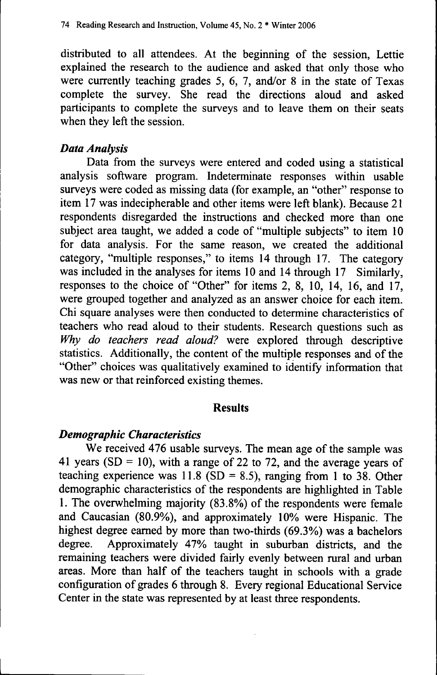distributed to all attendees. At the beginning of the session, Lettie explained the research to the audience and asked that only those who were currently teaching grades 5, 6, 7, and/or 8 in the state of Texas complete the survey. She read the directions aloud and asked participants to complete the surveys and to leave them on their seats when they left the session.

# *Data Analysis*

Data from the surveys were entered and coded using a statistical analysis software program. Indeterminate responses within usable surveys were coded as missing data (for example, an "other" response to item 17 was indecipherable and other items were left blank). Because 21 respondents disregarded the instructions and checked more than one subject area taught, we added a code of "multiple subjects" to item 10 for data analysis. For the same reason, we created the additional category, "multiple responses," to items 14 through 17. The category was included in the analyses for items 10 and 14 through 17 Similarly, responses to the choice of "Other" for items 2, 8, 10, 14, 16, and 17, were grouped together and analyzed as an answer choice for each item. Chi square analyses were then conducted to determine characteristics of teachers who read aloud to their students. Research questions such as *Why do teachers read aloud?* were explored through descriptive statistics. Additionally, the content of the multiple responses and of the "Other" choices was qualitatively examined to identify information that was new or that reinforced existing themes.

### **Results**

# *Demographic Characteristics*

We received 476 usable surveys. The mean age of the sample was 41 years (SD = 10), with a range of 22 to 72, and the average years of teaching experience was 11.8 (SD = 8.5), ranging from 1 to 38. Other demographic characteristics of the respondents are highlighted in Table 1. The overwhelming majority (83.8%) of the respondents were female and Caucasian (80.9%), and approximately 10% were Hispanic. The highest degree earned by more than two-thirds (69.3%) was a bachelors degree. Approximately 47% taught in suburban districts, and the remaining teachers were divided fairly evenly between rural and urban areas. More than half of the teachers taught in schools with a grade configuration of grades 6 through 8. Every regional Educational Service Center in the state was represented by at least three respondents.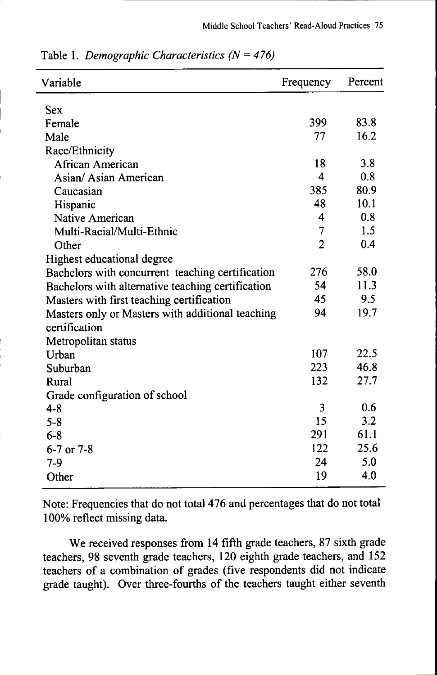| Variable                                                          | Frequency      | Percent |
|-------------------------------------------------------------------|----------------|---------|
| <b>Sex</b>                                                        |                |         |
| Female                                                            | 399            | 83.8    |
| Male                                                              | 77             | 16.2    |
| Race/Ethnicity                                                    |                |         |
| <b>African American</b>                                           | 18             | 3.8     |
| Asian/Asian American                                              | $\overline{4}$ | 0.8     |
| Caucasian                                                         | 385            | 80.9    |
| Hispanic                                                          | 48             | 10.1    |
| Native American                                                   | 4              | 0.8     |
| Multi-Racial/Multi-Ethnic                                         | 7              | 1.5     |
| Other                                                             | $\overline{2}$ | 0.4     |
| Highest educational degree                                        |                |         |
| Bachelors with concurrent teaching certification                  | 276            | 58.0    |
| Bachelors with alternative teaching certification                 | 54             | 11.3    |
| Masters with first teaching certification                         | 45             | 9.5     |
| Masters only or Masters with additional teaching<br>certification | 94             | 19.7    |
| Metropolitan status                                               |                |         |
| Urban                                                             | 107            | 22.5    |
| Suburban                                                          | 223            | 46.8    |
| Rural                                                             | 132            | 27.7    |
| Grade configuration of school                                     |                |         |
| $4 - 8$                                                           | 3              | 0.6     |
| $5 - 8$                                                           | 15             | 3.2     |
| $6 - 8$                                                           | 291            | 61.1    |
| 6-7 or 7-8                                                        | 122            | 25.6    |
| $7 - 9$                                                           | 24             | 5.0     |
| Other                                                             | 19             | 4.0     |

Table 1. *Demographic Characteristics (N = 476)*

Note: Frequencies that do not total 476 and percentages that do not total 100% reflect missing data.

We received responses from 14 fifth grade teachers, 87 sixth grade teachers, 98 seventh grade teachers, 120 eighth grade teachers, and 152 teachers of a combination of grades (five respondents did not indicate grade taught). Over three-fourths of the teachers taught either seventh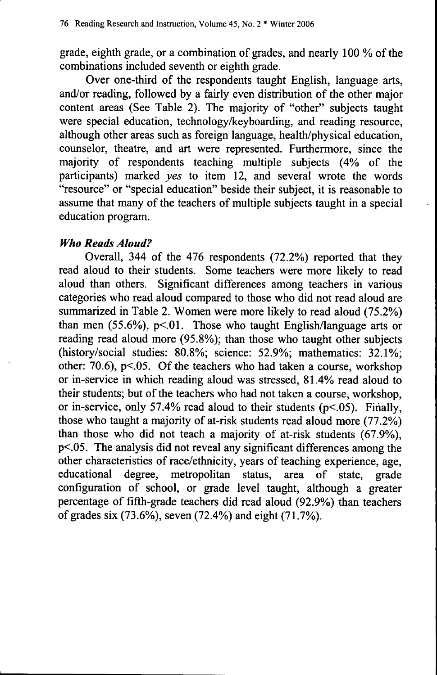grade, eighth grade, or a combination of grades, and nearly  $100\%$  of the combinations included seventh or eighth grade.

Over one-third of the respondents taught English, language arts, and/or reading, followed by a fairly even distribution of the other major content areas (See Table 2). The majority of "other" subjects taught were special education, technology/keyboarding, and reading resource, although other areas such as foreign language, health/physical education, counselor, theatre, and art were represented. Furthermore, since the majority of respondents teaching multiple subjects (4% of the participants) marked *yes* to item 12, and several wrote the words "resource" or "special education" beside their subject, it is reasonable to assume that many of the teachers of multiple subjects taught in a special education program.

### *Who Reads Aloud?*

Overall, 344 of the 476 respondents (72.2%) reported that they read aloud to their students. Some teachers were more likely to read aloud than others. Significant differences among teachers in various categories who read aloud compared to those who did not read aloud are summarized in Table 2. Women were more likely to read aloud (75.2%) than men  $(55.6\%)$ , p<.01. Those who taught English/language arts or reading read aloud more (95.8%); than those who taught other subjects (history/social studies: 80.8%; science: 52.9%; mathematics: 32.1%; other: 70.6),  $p<0.5$ . Of the teachers who had taken a course, workshop or in-service in which reading aloud was stressed, 81.4% read aloud to their students; but of the teachers who had not taken a course, workshop, or in-service, only 57.4% read aloud to their students ( $p$ <.05). Finally, those who taught a majority of at-risk students read aloud more (77.2%) than those who did not teach a majority of at-risk students  $(67.9\%)$ , p<.05. The analysis did not reveal any significant differences among the other characteristics of race/ethnicity, years of teaching experience, age, educational degree, metropolitan status, area of state, grade configuration of school, or grade level taught, although a greater percentage of fifth-grade teachers did read aloud (92.9%) than teachers of grades six (73.6%), seven (72.4%) and eight (71.7%).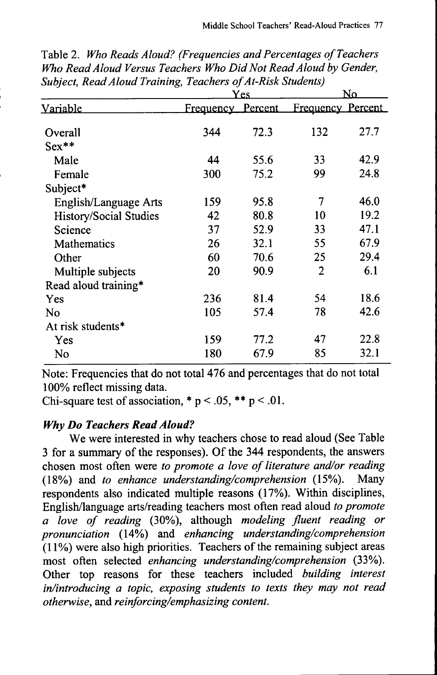| ٠.<br>Yes |      | No                |                   |
|-----------|------|-------------------|-------------------|
|           |      |                   |                   |
| 344       | 72.3 | 132               | 27.7              |
|           |      |                   |                   |
| 44        | 55.6 | 33                | 42.9              |
| 300       | 75.2 | 99                | 24.8              |
|           |      |                   |                   |
| 159       | 95.8 | 7                 | 46.0              |
| 42        | 80.8 | 10                | 19.2              |
| 37        | 52.9 | 33                | 47.1              |
| 26        | 32.1 | 55                | 67.9              |
| 60        | 70.6 | 25                | 29.4              |
| 20        | 90.9 | $\overline{2}$    | 6.1               |
|           |      |                   |                   |
| 236       | 81.4 | 54                | 18.6              |
| 105       | 57.4 | 78                | 42.6              |
|           |      |                   |                   |
| 159       | 77.2 | 47                | 22.8              |
| 180       | 67.9 | 85                | 32.1              |
|           |      | Frequency Percent | Frequency Percent |

Table 2. *Who Reads Aloud? (Frequencies and Percentages of Teachers Who Read Aloud Versus Teachers Who Did Not Read Aloud by Gender,* **Subject, Read Aloud Training, Teachers of At-Risk Students)** 

Note: Frequencies that do not total 476 and percentages that do not total 100% reflect missing data.

Chi-square test of association,  $* p < .05$ ,  $** p < .01$ .

## *Why Do Teachers Read Aloud?*

We were interested in why teachers chose to read aloud (See Table 3 for a summary of the responses). Of the 344 respondents, the answers chosen most often were *to promote a love of literature and/or reading* (18%) and *to enhance understanding/comprehension* (15%). Many respondents also indicated multiple reasons (17%). Within disciplines, English/language arts/reading teachers most often read aloud *to promote a love of reading* (30%), although *modeling fluent reading or pronunciation* (14%) and *enhancing understanding/comprehension* (11%) were also high priorities. Teachers of the remaining subject areas most often selected *enhancing understanding/comprehension* (33%). Other top reasons for these teachers included *building interest in/introducing a topic, exposing students to texts they may not read otherwise,* and *reinforcing/emphasizing content.*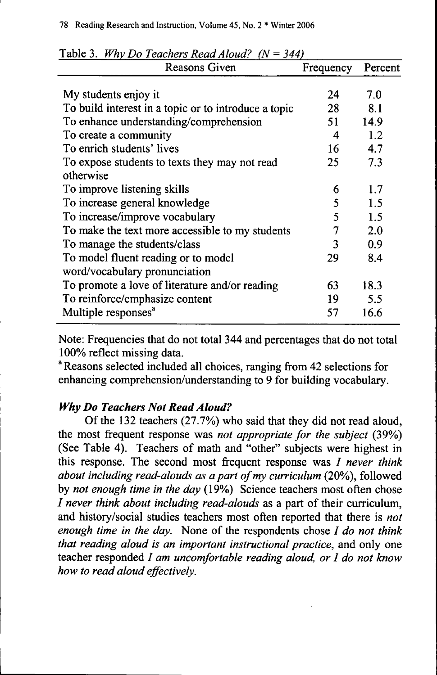| Reasons Given                                        | Frequency | Percent |
|------------------------------------------------------|-----------|---------|
|                                                      |           |         |
| My students enjoy it                                 | 24        | 7.0     |
| To build interest in a topic or to introduce a topic | 28        | 8.1     |
| To enhance understanding/comprehension               | 51        | 14.9    |
| To create a community                                | 4         | 1.2     |
| To enrich students' lives                            | 16        | 4.7     |
| To expose students to texts they may not read        | 25        | 7.3     |
| otherwise                                            |           |         |
| To improve listening skills                          | 6         | 1.7     |
| To increase general knowledge                        | 5         | 1.5     |
| To increase/improve vocabulary                       | 5         | 1.5     |
| To make the text more accessible to my students      | 7         | 2.0     |
| To manage the students/class                         | 3         | 0.9     |
| To model fluent reading or to model                  | 29        | 8.4     |
| word/vocabulary pronunciation                        |           |         |
| To promote a love of literature and/or reading       | 63        | 18.3    |
| To reinforce/emphasize content                       | 19        | 5.5     |
| Multiple responses <sup>a</sup>                      | 57        | 16.6    |

| Table 3. Why Do Teachers Read Aloud? $(N = 344)$ |  |
|--------------------------------------------------|--|
|--------------------------------------------------|--|

Note: Frequencies that do not total 344 and percentages that do not total 100% reflect missing data.

<sup>a</sup> Reasons selected included all choices, ranging from 42 selections for enhancing comprehension/understanding to 9 for building vocabulary.

### *Why Do Teachers Not Read Aloud?*

Of the 132 teachers (27.7%) who said that they did not read aloud, the most frequent response was *not appropriate for the subject* (39%) (See Table 4). Teachers of math and "other" subjects were highest in this response. The second most frequent response was / *never think about including read-alouds as apart of my curriculum* (20%), followed by *not enough time in the day* (19%) Science teachers most often chose / *never think about including read-alouds* as a part of their curriculum, and history/social studies teachers most often reported that there is *not enough time in the day.* None of the respondents chose / *do not think that reading aloud is an important instructional practice,* and only one teacher responded / *am uncomfortable reading aloud, or I do not know how to read aloud effectively.*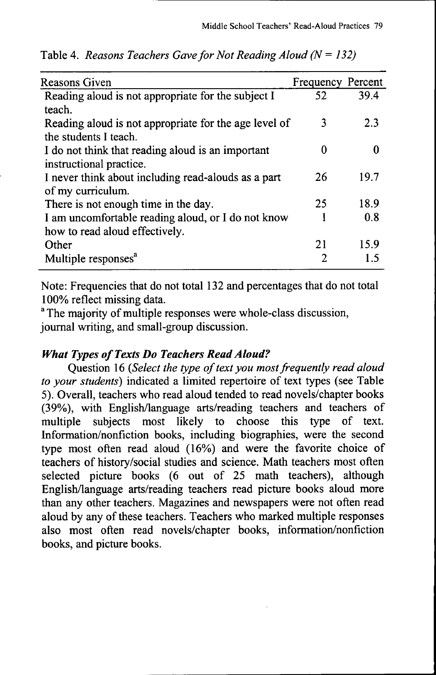| Reasons Given                                         | Frequency Percent |      |
|-------------------------------------------------------|-------------------|------|
| Reading aloud is not appropriate for the subject I    | 52                | 39.4 |
| teach.                                                |                   |      |
| Reading aloud is not appropriate for the age level of | 3                 | 2.3  |
| the students I teach.                                 |                   |      |
| I do not think that reading aloud is an important     |                   |      |
| instructional practice.                               |                   |      |
| I never think about including read-alouds as a part   | 26                | 19.7 |
| of my curriculum.                                     |                   |      |
| There is not enough time in the day.                  | 25                | 18.9 |
| I am uncomfortable reading aloud, or I do not know    |                   | 0.8  |
| how to read aloud effectively.                        |                   |      |
| Other                                                 | 21                | 15.9 |
| Multiple responses <sup>a</sup>                       |                   |      |

Table 4. *Reasons Teachers Gave for Not Reading Aloud (N = 132)*

Note: Frequencies that do not total 132 and percentages that do not total 100% reflect missing data.

<sup>a</sup> The majority of multiple responses were whole-class discussion, journal writing, and small-group discussion.

# *What Types of Texts Do Teachers Read Aloud?*

Question 16 *{Select the type of text you most frequently read aloud to your students)* indicated a limited repertoire of text types (see Table 5). Overall, teachers who read aloud tended to read novels/chapter books (39%), with English/language arts/reading teachers and teachers of multiple subjects most likely to choose this type of text. Information/nonflction books, including biographies, were the second type most often read aloud (16%) and were the favorite choice of teachers of history/social studies and science. Math teachers most often selected picture books (6 out of 25 math teachers), although English/language arts/reading teachers read picture books aloud more than any other teachers. Magazines and newspapers were not often read aloud by any of these teachers. Teachers who marked multiple responses also most often read novels/chapter books, information/nonfiction books, and picture books.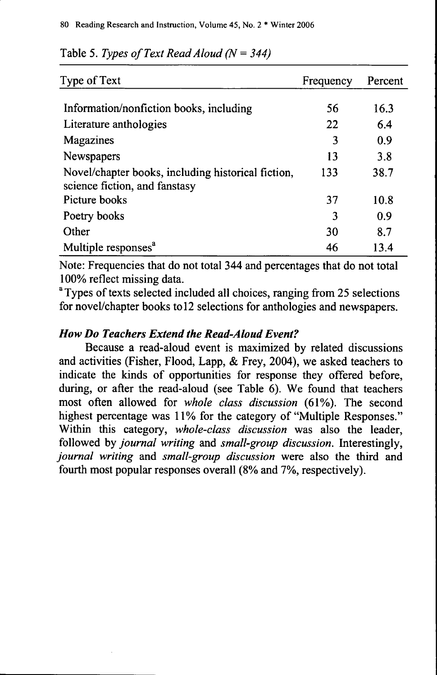| Type of Text                                                                        | Frequency | Percent |
|-------------------------------------------------------------------------------------|-----------|---------|
| Information/nonfiction books, including                                             | 56        | 16.3    |
| Literature anthologies                                                              | 22        | 6.4     |
| Magazines                                                                           | 3         | 0.9     |
| Newspapers                                                                          | 13        | 3.8     |
| Novel/chapter books, including historical fiction,<br>science fiction, and fanstasy | 133       | 38.7    |
| Picture books                                                                       | 37        | 10.8    |
| Poetry books                                                                        | 3         | 0.9     |
| Other                                                                               | 30        | 8.7     |
| Multiple responses <sup>a</sup>                                                     | 46        | 13.4    |

Table 5. *Types of Text Read Aloud (N = 344)*

Note: Frequencies that do not total 344 and percentages that do not total 100% reflect missing data.

<sup>a</sup> Types of texts selected included all choices, ranging from 25 selections for novel/chapter books to 12 selections for anthologies and newspapers.

## *How Do Teachers Extend the Read-Aloud Event?*

Because a read-aloud event is maximized by related discussions and activities (Fisher, Flood, Lapp, & Frey, 2004), we asked teachers to indicate the kinds of opportunities for response they offered before, during, or after the read-aloud (see Table 6). We found that teachers most often allowed for *whole class discussion* (61%). The second highest percentage was 11% for the category of "Multiple Responses." Within this category, *whole-class discussion* was also the leader, followed by *joumal writing* and *small-group discussion.* Interestingly, *joumal writing* and *small-group discussion* were also the third and fourth most popular responses overall (8% and 7%, respectively).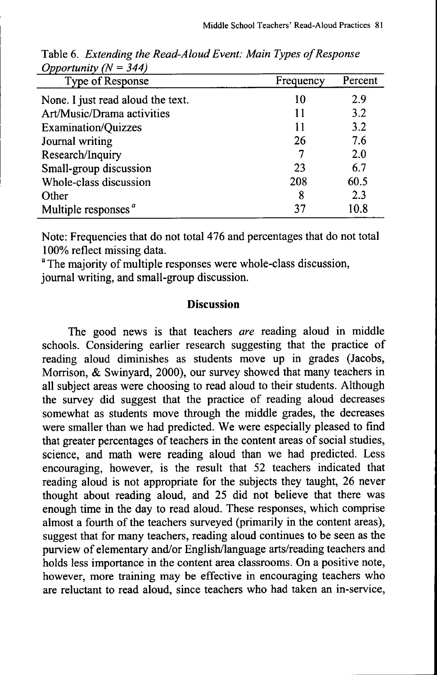| Type of Response                  | Frequency | Percent |
|-----------------------------------|-----------|---------|
| None. I just read aloud the text. | 10        | 2.9     |
| Art/Music/Drama activities        | 11        | 3.2     |
| <b>Examination/Quizzes</b>        | 11        | 3.2     |
| Journal writing                   | 26        | 7.6     |
| Research/Inquiry                  |           | 2.0     |
| Small-group discussion            | 23        | 6.7     |
| Whole-class discussion            | 208       | 60.5    |
| Other                             | 8         | 2.3     |
| Multiple responses <sup>a</sup>   | 37        | 10.8    |

Table 6. *Extending the Read-Aloud Event: Main Types of Response Opportunity (N = 344)*

Note: Frequencies that do not total 476 and percentages that do not total 100% reflect missing data.

<sup>a</sup>The majority of multiple responses were whole-class discussion, journal writing, and small-group discussion.

## **Discussion**

The good news is that teachers *are* reading aloud in middle schools. Considering earlier research suggesting that the practice of reading aloud diminishes as students move up in grades (Jacobs, Morrison, & Swinyard, 2000), our survey showed that many teachers in all subject areas were choosing to read aloud to their students. Although the survey did suggest that the practice of reading aloud decreases somewhat as students move through the middle grades, the decreases were smaller than we had predicted. We were especially pleased to find that greater percentages of teachers in the content areas of social studies, science, and math were reading aloud than we had predicted. Less encouraging, however, is the result that 52 teachers indicated that reading aloud is not appropriate for the subjects they taught, 26 never thought about reading aloud, and 25 did not believe that there was enough time in the day to read aloud. These responses, which comprise almost a fourth of the teachers surveyed (primarily in the content areas), suggest that for many teachers, reading aloud continues to be seen as the purview of elementary and/or English/language arts/reading teachers and holds less importance in the content area classrooms. On a positive note, however, more training may be effective in encouraging teachers who are reluctant to read aloud, since teachers who had taken an in-service.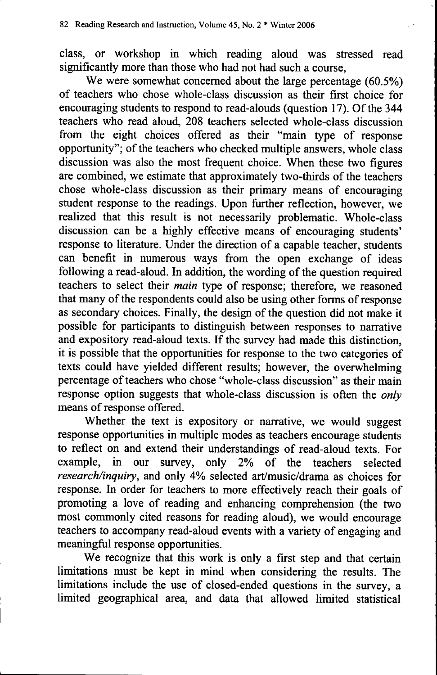class, or workshop in which reading aloud was stressed read significantly more than those who had not had such a course.

We were somewhat concerned about the large percentage (60.5%) of teachers who chose whole-class discussion as their flrst choice for encouraging students to respond to read-alouds (question 17). Of the 344 teachers who read aloud, 208 teachers selected whole-class discussion from the eight choices offered as their "main type of response opportunity"; of the teachers who checked multiple answers, whole class discussion was also the most frequent choice. When these two figures are combined, we estimate that approximately two-thirds of the teachers chose whole-class discussion as their primary means of encouraging student response to the readings. Upon further reflection, however, we realized that this result is not necessarily problematic. Whole-class discussion can be a highly effective means of encouraging students' response to literature. Under the direction of a capable teacher, students can benefit in numerous ways from the open exchange of ideas following a read-aloud. In addition, the wording of the question required teachers to select their *main* type of response; therefore, we reasoned that many of the respondents could also be using other forms of response as secondary choices. Finally, the design of the question did not make it possible for participants to distinguish between responses to narrative and expository read-aloud texts. If the survey had made this distinction, it is possible that the opportunities for response to the two categories of texts could have yielded different results; however, the overwhelming percentage of teachers who chose "whole-class discussion" as their main response option suggests that whole-class discussion is often the *only* means of response offered.

Whether the text is expository or narrative, we would suggest response opportunities in multiple modes as teachers encourage students to reflect on and extend their understandings of read-aloud texts. For example, in our survey, only 2% of the teachers selected *research/inquiry,* and only 4% selected art/music/drama as choices for response. In order for teachers to more effectively reach their goals of promoting a love of reading and enhancing comprehension (the two most commonly cited reasons for reading aloud), we would encourage teachers to accompany read-aloud events with a variety of engaging and meaningful response opportunities.

We recognize that this work is only a first step and that certain limitations must be kept in mind when considering the results. The limitations include the use of closed-ended questions in the survey, a limited geographical area, and data that allowed limited statistical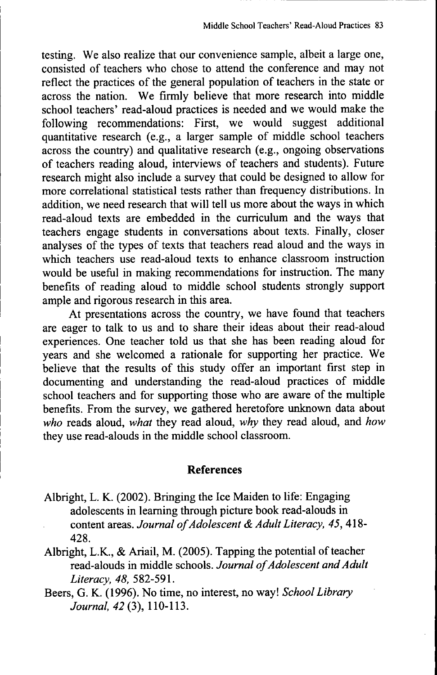testing. We also realize that our convenience sample, albeit a large one, consisted of teachers who chose to attend the conference and may not reflect the practices of the general population of teachers in the state or across the nation. We firmly believe that more research into middle school teachers' read-aloud practices is needed and we would make the following recommendations: First, we would suggest additional quantitative research (e.g., a larger sample of middle school teachers across the country) and qualitative research (e.g., ongoing observations of teachers reading aloud, interviews of teachers and students). Future research might also include a survey that could be designed to allow for more correlational statistical tests rather than frequency distributions. In addition, we need research that will tell us more about the ways in which read-aloud texts are embedded in the curriculum and the ways that teachers engage students in conversations about texts. Finally, closer analyses of the types of texts that teachers read aloud and the ways in which teachers use read-aloud texts to enhance classroom instruction would be useful in making recommendations for instruction. The many benefits of reading aloud to middle school students strongly support ample and rigorous research in this area.

At presentations across the country, we have found that teachers are eager to talk to us and to share their ideas about their read-aloud experiences. One teacher told us that she has been reading aloud for years and she welcomed a rationale for supporting her practice. We believe that the results of this study offer an important first step in documenting and understanding the read-aloud practices of middle school teachers and for supporting those who are aware of the multiple benefits. From the survey, we gathered heretofore unknown data about *who* reads aloud, *what* they read aloud, *why* they read aloud, and *how* they use read-alouds in the middle school classroom.

### **References**

- Albright, L. K. (2002). Bringing the Ice Maiden to life: Engaging adolescents in learning through picture book read-alouds in content areas. Journal of Adolescent & Adult Literacy, 45, 418-428.
- Albright, L.K., & Ariail, M. (2005). Tapping the potential of teacher read-alouds in middle schools. *Journal of Adolescent and Adult Literacy, 48,* 582-591.
- Beers, G. K. (1996). No time, no interest, no way! *School Library* Journal, 42 (3), 110-113.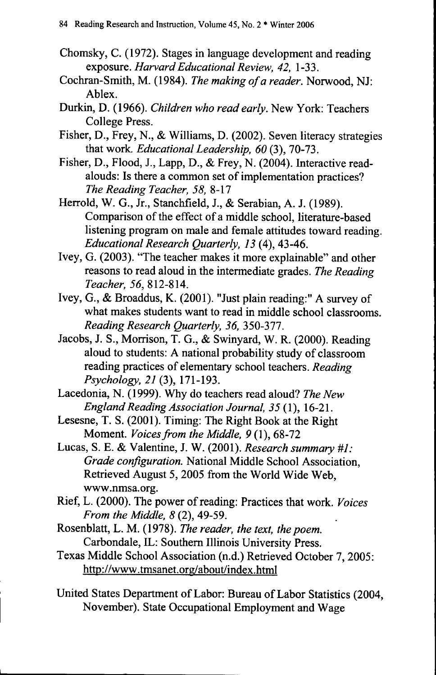- Chomsky, C. (1972). Stages in language development and reading *exposure. Harvard Educational Review, 42,* 1-33.
- Cochran-Smith, M. (1984). *The making of a reader.* Norwood, NJ: Ablex.
- Durkin, D. (1966). *Children who read early.* New York: Teachers College Press.
- Fisher, D., Frey, N., & Williams, D. (2002). Seven literacy strategies that work. *Educational Leadership, 60* (3), 70-73.
- Fisher, D., Flood, J., Lapp, D., & Frey, N. (2004). Interactive readalouds: Is there a common set of implementation practices? *The Reading Teacher, 58,* 8-17
- Herrold, W. G., Jr., Stanchfield, J., & Serabian, A. J. (1989). Comparison of the effect of a middle school, literature-based listening program on male and female attitudes toward reading. *Educational Research Quarterly, 13* (4), 43-46.
- Ivey, G. (2003). "The teacher makes it more explainable" and other reasons to read aloud in the intermediate grades. *The Reading Teacher, 56,* 812-814.
- Ivey, G., & Broaddus, K. (2001). "Just plain reading:" A survey of what makes students want to read in middle school classrooms. *Reading Research Quarterly, 36,* 350-377.
- Jacobs, J. S., Morrison, T. G., *&* Swinyard, W. R. (2000). Reading aloud to students: A national probability study of classroom reading practices of elementary school teachers. *Reading Psychology, 21* (3), 171-193.
- Lacedonia, N. (1999). Why do teachers read aloud? *The New England Reading Association Journal,* 55(1), 16-21.
- Lesesne, T. S. (2001). Timing: The Right Book at the Right Moment. *Voices from the Middle,* 9(1), 68-72
- Lucas, S. E. & Valentine, J. W. (2001). *Research summary #1: Grade configuration.* National Middle School Association, Retrieved August 5, 2005 from the World Wide Web, www.nmsa.org.
- Rief, L. (2000). The power of reading: Practices that work. *Voices From the Middle, 8* (2), 49-59.
- Rosenblatt, L. M. (1978). *The reader, the text, the poem.* Carbondale, IL: Southern Illinois University Press.
- Texas Middle School Association (n.d.) Retrieved October 7, 2005: http://www.tmsanet.org/about/index.html
- United States Department of Labor: Bureau of Labor Statistics (2004, November). State Occupational Employment and Wage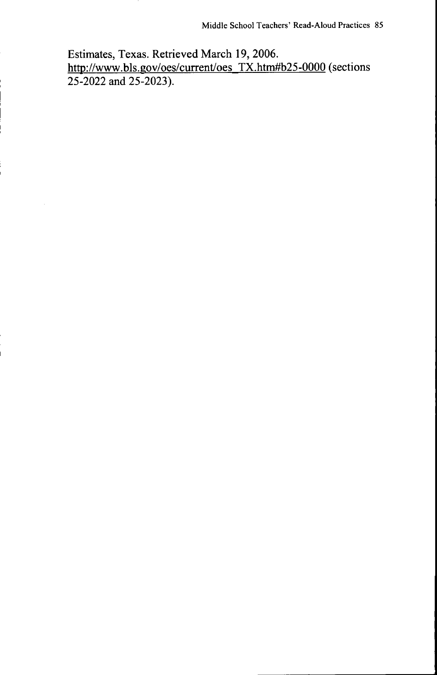Estimates, Texas. Retrieved March 19, 2006. http://www.bls.gov/oes/current/oes TX.htm#b25-0000 (sections 25-2022 and 25-2023).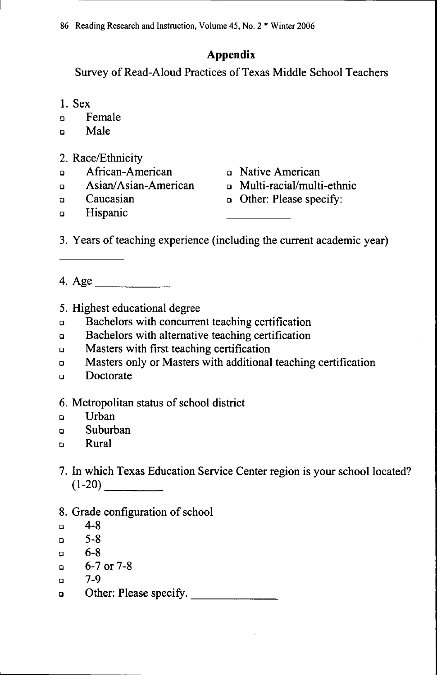# **Appendix**

Survey of Read-Aloud Practices of Texas Middle School Teachers

- 1. Sex
- a Female
- **Q Male**
- 2. Race/Ethnicity
- a African-American a Native American
- a Asian/Asian-American a Multi-racial/multi-ethnic
- 
- 
- 
- **Caucasian Caucasian Other: Please specify:**
- a Hispanic
- 3. Years of teaching experience (including the current academic year)
- 4. Age
- 5. Highest educational degree
- *a* Bachelors with concurrent teaching certification
- a Bachelors with alternative teaching certification
- Masters with first teaching certification
- *a* Masters only or Masters with additional teaching certification
- Doctorate
- 6. Metropolitan status of school district
- a Urban
- a Suburban
- *a* Rural
- 7. In which Texas Education Service Center region is your school located? (1-20)
- 8. Grade configuration of school
- $a = 4-8$ *a* 5-8  $-6-8$  $\epsilon$  6-7 or 7-8 a 7-9
- o Other: Please specify.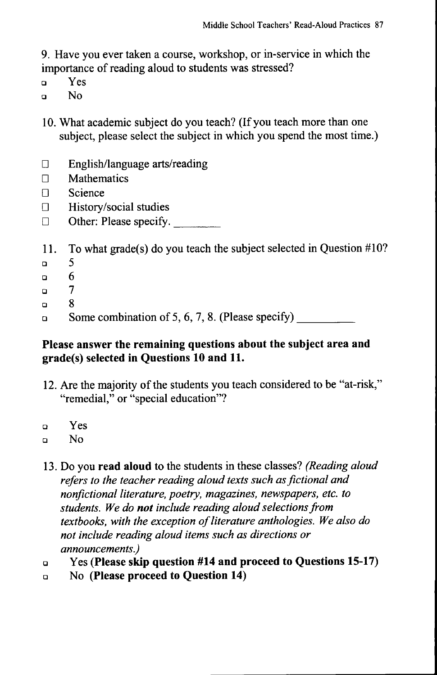*9.* Have you ever taken a course, workshop, or in-service in which the importance of reading aloud to students was stressed?

- Yes
- a No

10. What academic subject do you teach? (If you teach more than one subject, please select the subject in which you spend the most time.)

- $\square$  English/language arts/reading
- $\n **Mathematics**\n$
- D Science
- D History/social studies
- $\Box$  Other: Please specify.

11. To what grade(s) do you teach the subject selected in Question #10?

- 5
- *a* 6
- 7
- **Q 8**
- a Some combination of 5, 6, 7, 8. (Please specify)

# **Please answer the remaining questions about the subject area and grade(s) selected in Questions 10 and 11.**

- 12. Are the majority of the students you teach considered to be "at-risk," "remedial," or "special education"?
- Q Yes
- Q No
- **13. Do** you **read aloud** to the students in these classes? *(Reading aloud refers to the teacher reading aloud texts such as fictional and nonfictional literature, poetry, magazines, newspapers, etc. to students. We do not include reading aloud selections from textbooks, with the exception of literature anthologies. We also do not include reading aloud items such as directions or announcements.)*
- Yes **(Please skip question #14 and proceed to Questions 15-17)**
- **No (Please proceed to Question 14)**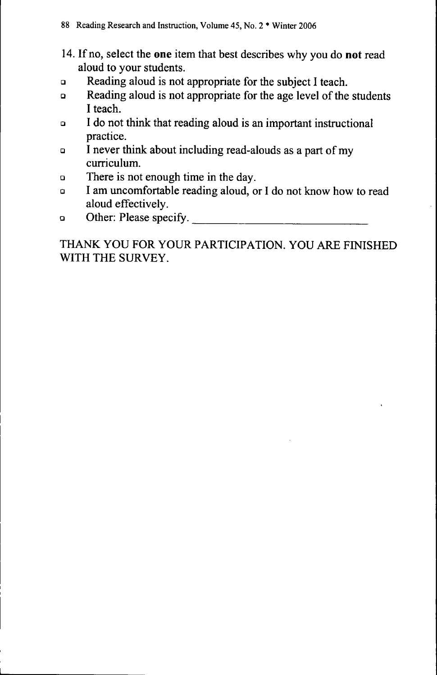- 14. If no, select the **one** item that best describes why you do **not** read aloud to your students.
- a Reading aloud is not appropriate for the subject I teach.
- Reading aloud is not appropriate for the age level of the students I teach.
- I do not think that reading aloud is an important instructional practice.
- **I** never think about including read-alouds as a part of my curriculum.
- a There is not enough time in the day.
- a I am uncomfortable reading aloud, or I do not know how to read aloud effectively.
- o Other: Please specify.

THANK YOU FOR YOUR PARTICIPATION. YOU ARE FINISHED WITH THE SURVEY.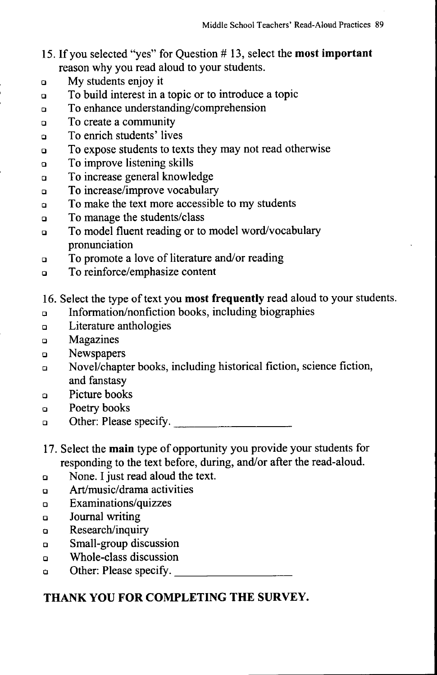- 15. If you selected "yes" for Question #13, select the **most important** reason why you read aloud to your students.
- a My students enjoy it
- a To build interest in a topic or to introduce a topic
- To enhance understanding/comprehension
- To create a community
- a To enrich students' lives
- a To expose students to texts they may not read otherwise
- a To improve listening skills
- a To increase general knowledge
- **To increase/improve vocabulary**
- a To make the text more accessible to my students
- To manage the students/class
- a To model fluent reading or to model word/vocabulary pronunciation
- To promote a love of literature and/or reading
- a To reinforce/emphasize content

## 16. Select the type of text you **most frequently** read aloud to your students.

- Information/nonfiction books, including biographies
- **Literature anthologies**
- **Q** Magazines
- n Newspapers
- a Novel/chapter books, including historical fiction, science fiction, and fanstasy
- a Picture books
- a Poetry books
- **Other: Please specify.**
- 17. Select the **main** type of opportunity you provide your students for responding to the text before, during, and/or after the read-aloud.
- a None. I just read aloud the text.
- Art/music/drama activities
- Q Examinations/quizzes
- Journal writing
- a Research/inquiry
- p Small-group discussion
- **Whole-class discussion**
- a Other: Please specify.

# **THANK YOU FOR COMPLETING THE SURVEY.**